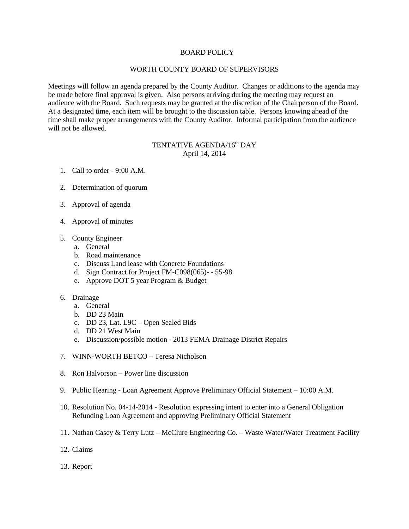## BOARD POLICY

## WORTH COUNTY BOARD OF SUPERVISORS

Meetings will follow an agenda prepared by the County Auditor. Changes or additions to the agenda may be made before final approval is given. Also persons arriving during the meeting may request an audience with the Board. Such requests may be granted at the discretion of the Chairperson of the Board. At a designated time, each item will be brought to the discussion table. Persons knowing ahead of the time shall make proper arrangements with the County Auditor. Informal participation from the audience will not be allowed.

## TENTATIVE AGENDA/16<sup>th</sup> DAY April 14, 2014

- 1. Call to order 9:00 A.M.
- 2. Determination of quorum
- 3. Approval of agenda
- 4. Approval of minutes
- 5. County Engineer
	- a. General
	- b. Road maintenance
	- c. Discuss Land lease with Concrete Foundations
	- d. Sign Contract for Project FM-C098(065)- 55-98
	- e. Approve DOT 5 year Program & Budget
- 6. Drainage
	- a. General
	- b. DD 23 Main
	- c. DD 23, Lat. L9C Open Sealed Bids
	- d. DD 21 West Main
	- e. Discussion/possible motion 2013 FEMA Drainage District Repairs
- 7. WINN-WORTH BETCO Teresa Nicholson
- 8. Ron Halvorson Power line discussion
- 9. Public Hearing Loan Agreement Approve Preliminary Official Statement 10:00 A.M.
- 10. Resolution No. 04-14-2014 Resolution expressing intent to enter into a General Obligation Refunding Loan Agreement and approving Preliminary Official Statement
- 11. Nathan Casey & Terry Lutz McClure Engineering Co. Waste Water/Water Treatment Facility
- 12. Claims
- 13. Report